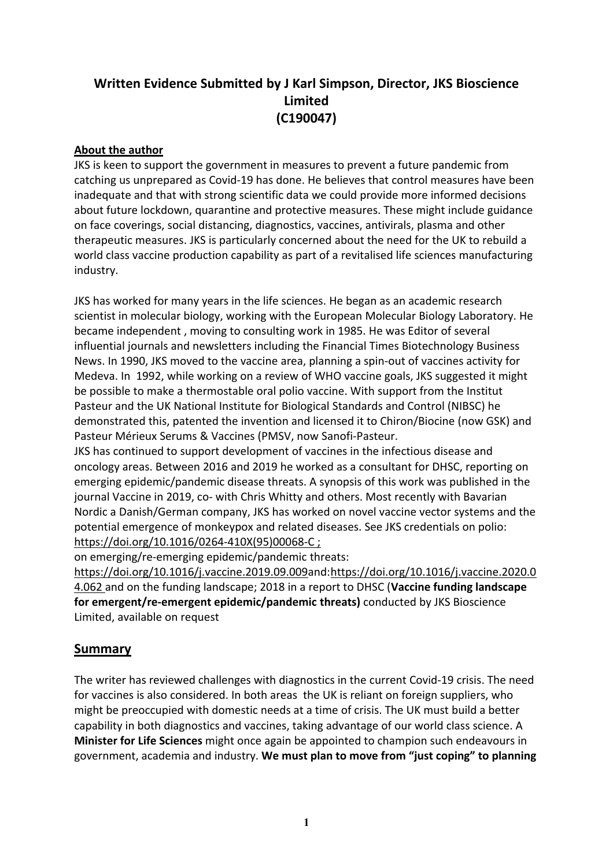# **Written Evidence Submitted by J Karl Simpson, Director, JKS Bioscience Limited (C190047)**

#### **About the author**

JKS is keen to support the government in measures to prevent a future pandemic from catching us unprepared as Covid-19 has done. He believes that control measures have been inadequate and that with strong scientific data we could provide more informed decisions about future lockdown, quarantine and protective measures. These might include guidance on face coverings, social distancing, diagnostics, vaccines, antivirals, plasma and other therapeutic measures. JKS is particularly concerned about the need for the UK to rebuild a world class vaccine production capability as part of a revitalised life sciences manufacturing industry.

JKS has worked for many years in the life sciences. He began as an academic research scientist in molecular biology, working with the European Molecular Biology Laboratory. He became independent , moving to consulting work in 1985. He was Editor of several influential journals and newsletters including the Financial Times Biotechnology Business News. In 1990, JKS moved to the vaccine area, planning a spin-out of vaccines activity for Medeva. In 1992, while working on a review of WHO vaccine goals, JKS suggested it might be possible to make a thermostable oral polio vaccine. With support from the Institut Pasteur and the UK National Institute for Biological Standards and Control (NIBSC) he demonstrated this, patented the invention and licensed it to Chiron/Biocine (now GSK) and Pasteur Mérieux Serums & Vaccines (PMSV, now Sanofi-Pasteur.

JKS has continued to support development of vaccines in the infectious disease and oncology areas. Between 2016 and 2019 he worked as a consultant for DHSC, reporting on emerging epidemic/pandemic disease threats. A synopsis of this work was published in the journal Vaccine in 2019, co- with Chris Whitty and others. Most recently with Bavarian Nordic a Danish/German company, JKS has worked on novel vaccine vector systems and the potential emergence of monkeypox and related diseases. See JKS credentials on polio: [https://doi.org/10.1016/0264-410X\(95\)00068-C](https://urldefense.com/v3/__https:/doi.org/10.1016/0264-410X(95)00068-C__;!!AoaiBx6H!hXuGBsGZHmG4tuEAsn_bgs4J12aROJIPmIKq8Fz20GzeIQnN3A5b6FADwUI-kqHqiQ$) ;

on emerging/re-emerging epidemic/pandemic threats:

[https://doi.org/10.1016/j.vaccine.2019.09.009a](https://doi.org/10.1016/j.vaccine.2019.09.009)nd:[https://doi.org/10.1016/j.vaccine.2020.0](https://doi.org/10.1016/j.vaccine.2020.04.062) [4.062](https://doi.org/10.1016/j.vaccine.2020.04.062) and on the funding landscape; 2018 in a report to DHSC (**Vaccine funding landscape for emergent/re-emergent epidemic/pandemic threats)** conducted by JKS Bioscience Limited, available on request

# **Summary**

The writer has reviewed challenges with diagnostics in the current Covid-19 crisis. The need for vaccines is also considered. In both areas the UK is reliant on foreign suppliers, who might be preoccupied with domestic needs at a time of crisis. The UK must build a better capability in both diagnostics and vaccines, taking advantage of our world class science. A **Minister for Life Sciences** might once again be appointed to champion such endeavours in government, academia and industry. **We must plan to move from "just coping" to planning**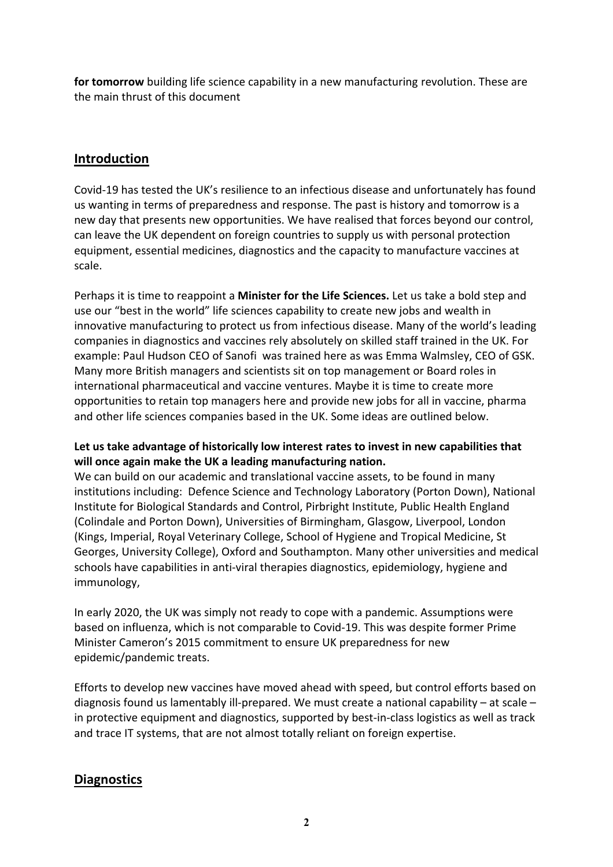**for tomorrow** building life science capability in a new manufacturing revolution. These are the main thrust of this document

# **Introduction**

Covid-19 has tested the UK's resilience to an infectious disease and unfortunately has found us wanting in terms of preparedness and response. The past is history and tomorrow is a new day that presents new opportunities. We have realised that forces beyond our control, can leave the UK dependent on foreign countries to supply us with personal protection equipment, essential medicines, diagnostics and the capacity to manufacture vaccines at scale.

Perhaps it is time to reappoint a **Minister for the Life Sciences.** Let us take a bold step and use our "best in the world" life sciences capability to create new jobs and wealth in innovative manufacturing to protect us from infectious disease. Many of the world's leading companies in diagnostics and vaccines rely absolutely on skilled staff trained in the UK. For example: Paul Hudson CEO of Sanofi was trained here as was Emma Walmsley, CEO of GSK. Many more British managers and scientists sit on top management or Board roles in international pharmaceutical and vaccine ventures. Maybe it is time to create more opportunities to retain top managers here and provide new jobs for all in vaccine, pharma and other life sciences companies based in the UK. Some ideas are outlined below.

## **Let us take advantage of historically low interest rates to invest in new capabilities that will once again make the UK a leading manufacturing nation.**

We can build on our academic and translational vaccine assets, to be found in many institutions including: Defence Science and Technology Laboratory (Porton Down), National Institute for Biological Standards and Control, Pirbright Institute, Public Health England (Colindale and Porton Down), Universities of Birmingham, Glasgow, Liverpool, London (Kings, Imperial, Royal Veterinary College, School of Hygiene and Tropical Medicine, St Georges, University College), Oxford and Southampton. Many other universities and medical schools have capabilities in anti-viral therapies diagnostics, epidemiology, hygiene and immunology,

In early 2020, the UK was simply not ready to cope with a pandemic. Assumptions were based on influenza, which is not comparable to Covid-19. This was despite former Prime Minister Cameron's 2015 commitment to ensure UK preparedness for new epidemic/pandemic treats.

Efforts to develop new vaccines have moved ahead with speed, but control efforts based on diagnosis found us lamentably ill-prepared. We must create a national capability – at scale – in protective equipment and diagnostics, supported by best-in-class logistics as well as track and trace IT systems, that are not almost totally reliant on foreign expertise.

# **Diagnostics**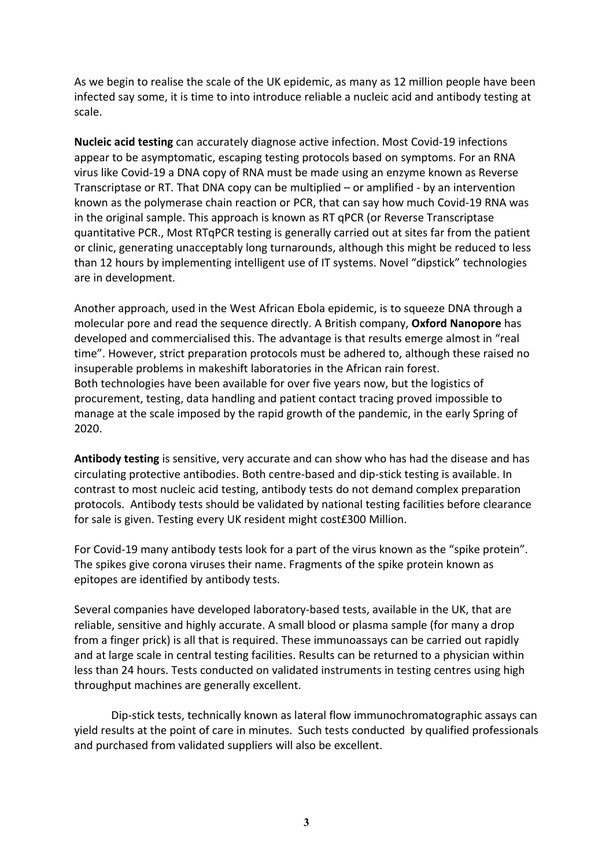As we begin to realise the scale of the UK epidemic, as many as 12 million people have been infected say some, it is time to into introduce reliable a nucleic acid and antibody testing at scale.

**Nucleic acid testing** can accurately diagnose active infection. Most Covid-19 infections appear to be asymptomatic, escaping testing protocols based on symptoms. For an RNA virus like Covid-19 a DNA copy of RNA must be made using an enzyme known as Reverse Transcriptase or RT. That DNA copy can be multiplied – or amplified - by an intervention known as the polymerase chain reaction or PCR, that can say how much Covid-19 RNA was in the original sample. This approach is known as RT qPCR (or Reverse Transcriptase quantitative PCR., Most RTqPCR testing is generally carried out at sites far from the patient or clinic, generating unacceptably long turnarounds, although this might be reduced to less than 12 hours by implementing intelligent use of IT systems. Novel "dipstick" technologies are in development.

Another approach, used in the West African Ebola epidemic, is to squeeze DNA through a molecular pore and read the sequence directly. A British company, **Oxford Nanopore** has developed and commercialised this. The advantage is that results emerge almost in "real time". However, strict preparation protocols must be adhered to, although these raised no insuperable problems in makeshift laboratories in the African rain forest. Both technologies have been available for over five years now, but the logistics of procurement, testing, data handling and patient contact tracing proved impossible to manage at the scale imposed by the rapid growth of the pandemic, in the early Spring of 2020.

**Antibody testing** is sensitive, very accurate and can show who has had the disease and has circulating protective antibodies. Both centre-based and dip-stick testing is available. In contrast to most nucleic acid testing, antibody tests do not demand complex preparation protocols. Antibody tests should be validated by national testing facilities before clearance for sale is given. Testing every UK resident might cost£300 Million.

For Covid-19 many antibody tests look for a part of the virus known as the "spike protein". The spikes give corona viruses their name. Fragments of the spike protein known as epitopes are identified by antibody tests.

Several companies have developed laboratory-based tests, available in the UK, that are reliable, sensitive and highly accurate. A small blood or plasma sample (for many a drop from a finger prick) is all that is required. These immunoassays can be carried out rapidly and at large scale in central testing facilities. Results can be returned to a physician within less than 24 hours. Tests conducted on validated instruments in testing centres using high throughput machines are generally excellent.

Dip-stick tests, technically known as lateral flow immunochromatographic assays can yield results at the point of care in minutes. Such tests conducted by qualified professionals and purchased from validated suppliers will also be excellent.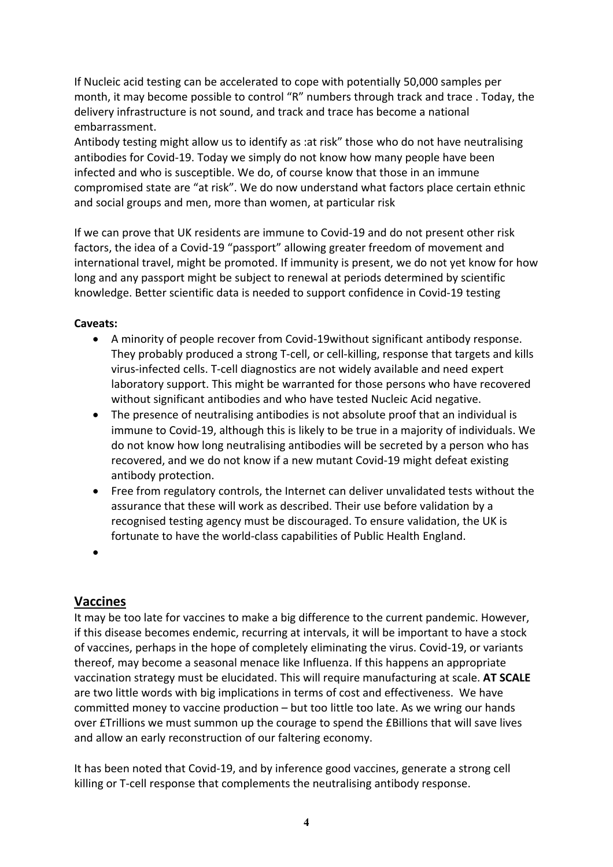If Nucleic acid testing can be accelerated to cope with potentially 50,000 samples per month, it may become possible to control "R" numbers through track and trace . Today, the delivery infrastructure is not sound, and track and trace has become a national embarrassment.

Antibody testing might allow us to identify as :at risk" those who do not have neutralising antibodies for Covid-19. Today we simply do not know how many people have been infected and who is susceptible. We do, of course know that those in an immune compromised state are "at risk". We do now understand what factors place certain ethnic and social groups and men, more than women, at particular risk

If we can prove that UK residents are immune to Covid-19 and do not present other risk factors, the idea of a Covid-19 "passport" allowing greater freedom of movement and international travel, might be promoted. If immunity is present, we do not yet know for how long and any passport might be subject to renewal at periods determined by scientific knowledge. Better scientific data is needed to support confidence in Covid-19 testing

## **Caveats:**

- A minority of people recover from Covid-19without significant antibody response. They probably produced a strong T-cell, or cell-killing, response that targets and kills virus-infected cells. T-cell diagnostics are not widely available and need expert laboratory support. This might be warranted for those persons who have recovered without significant antibodies and who have tested Nucleic Acid negative.
- The presence of neutralising antibodies is not absolute proof that an individual is immune to Covid-19, although this is likely to be true in a majority of individuals. We do not know how long neutralising antibodies will be secreted by a person who has recovered, and we do not know if a new mutant Covid-19 might defeat existing antibody protection.
- Free from regulatory controls, the Internet can deliver unvalidated tests without the assurance that these will work as described. Their use before validation by a recognised testing agency must be discouraged. To ensure validation, the UK is fortunate to have the world-class capabilities of Public Health England.
- $\bullet$

# **Vaccines**

It may be too late for vaccines to make a big difference to the current pandemic. However, if this disease becomes endemic, recurring at intervals, it will be important to have a stock of vaccines, perhaps in the hope of completely eliminating the virus. Covid-19, or variants thereof, may become a seasonal menace like Influenza. If this happens an appropriate vaccination strategy must be elucidated. This will require manufacturing at scale. **AT SCALE** are two little words with big implications in terms of cost and effectiveness. We have committed money to vaccine production – but too little too late. As we wring our hands over £Trillions we must summon up the courage to spend the £Billions that will save lives and allow an early reconstruction of our faltering economy.

It has been noted that Covid-19, and by inference good vaccines, generate a strong cell killing or T-cell response that complements the neutralising antibody response.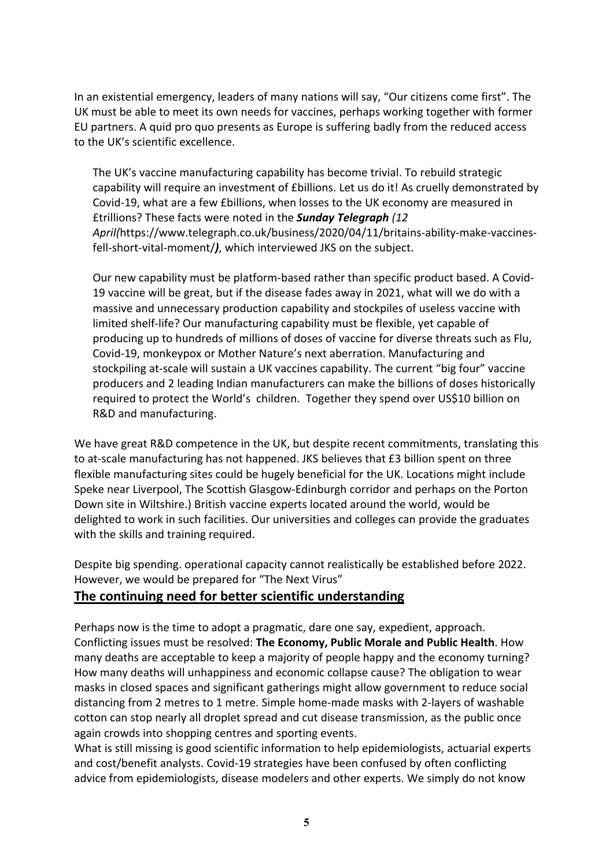In an existential emergency, leaders of many nations will say, "Our citizens come first". The UK must be able to meet its own needs for vaccines, perhaps working together with former EU partners. A quid pro quo presents as Europe is suffering badly from the reduced access to the UK's scientific excellence.

The UK's vaccine manufacturing capability has become trivial. To rebuild strategic capability will require an investment of £billions. Let us do it! As cruelly demonstrated by Covid-19, what are a few £billions, when losses to the UK economy are measured in £trillions? These facts were noted in the *Sunday Telegraph (12 April(*https://www.telegraph.co.uk/business/2020/04/11/britains-ability-make-vaccinesfell-short-vital-moment/*)*, which interviewed JKS on the subject.

Our new capability must be platform-based rather than specific product based. A Covid-19 vaccine will be great, but if the disease fades away in 2021, what will we do with a massive and unnecessary production capability and stockpiles of useless vaccine with limited shelf-life? Our manufacturing capability must be flexible, yet capable of producing up to hundreds of millions of doses of vaccine for diverse threats such as Flu, Covid-19, monkeypox or Mother Nature's next aberration. Manufacturing and stockpiling at-scale will sustain a UK vaccines capability. The current "big four" vaccine producers and 2 leading Indian manufacturers can make the billions of doses historically required to protect the World's children. Together they spend over US\$10 billion on R&D and manufacturing.

We have great R&D competence in the UK, but despite recent commitments, translating this to at-scale manufacturing has not happened. JKS believes that £3 billion spent on three flexible manufacturing sites could be hugely beneficial for the UK. Locations might include Speke near Liverpool, The Scottish Glasgow-Edinburgh corridor and perhaps on the Porton Down site in Wiltshire.) British vaccine experts located around the world, would be delighted to work in such facilities. Our universities and colleges can provide the graduates with the skills and training required.

Despite big spending. operational capacity cannot realistically be established before 2022. However, we would be prepared for "The Next Virus"

## **The continuing need for better scientific understanding**

Perhaps now is the time to adopt a pragmatic, dare one say, expedient, approach. Conflicting issues must be resolved: **The Economy, Public Morale and Public Health**. How many deaths are acceptable to keep a majority of people happy and the economy turning? How many deaths will unhappiness and economic collapse cause? The obligation to wear masks in closed spaces and significant gatherings might allow government to reduce social distancing from 2 metres to 1 metre. Simple home-made masks with 2-layers of washable cotton can stop nearly all droplet spread and cut disease transmission, as the public once again crowds into shopping centres and sporting events.

What is still missing is good scientific information to help epidemiologists, actuarial experts and cost/benefit analysts. Covid-19 strategies have been confused by often conflicting advice from epidemiologists, disease modelers and other experts. We simply do not know